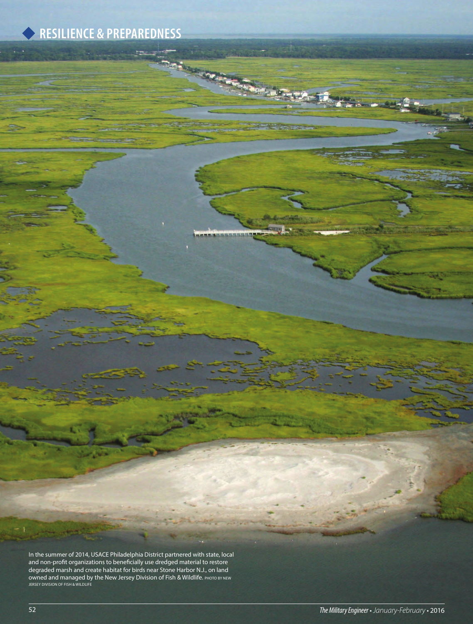# **RESILIENCE & PREPAREDNESS**

**In** 

In the summer of 2014, USACE Philadelphia District partnered with state, local and non-profit organizations to beneficially use dredged material to restore degraded marsh and create habitat for birds near Stone Harbor N.J., on land owned and managed by the New Jersey Division of Fish & Wildlife. PHOTO BY NEW JERSEY DIVISION OF FISH & WILDLIFE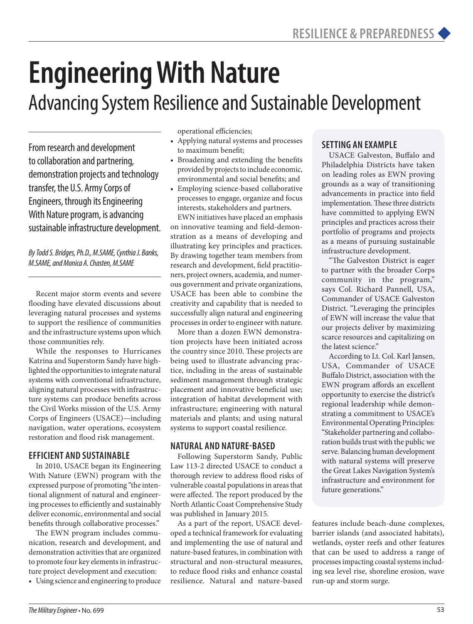# **Engineering With Nature**  Advancing System Resilience and Sustainable Development

From research and development to collaboration and partnering, demonstration projects and technology transfer, the U.S. Army Corps of Engineers, through its Engineering With Nature program, is advancing sustainable infrastructure development.

*By Todd S. Bridges, Ph.D., M.SAME, Cynthia J. Banks, M.SAME, and Monica A. Chasten, M.SAME*

Recent major storm events and severe flooding have elevated discussions about leveraging natural processes and systems to support the resilience of communities and the infrastructure systems upon which those communities rely.

While the responses to Hurricanes Katrina and Superstorm Sandy have highlighted the opportunities to integrate natural systems with conventional infrastructure, aligning natural processes with infrastructure systems can produce benefits across the Civil Works mission of the U.S. Army Corps of Engineers (USACE)—including navigation, water operations, ecosystem restoration and flood risk management.

## **EFFICIENT AND SUSTAINABLE**

In 2010, USACE began its Engineering With Nature (EWN) program with the expressed purpose of promoting "the intentional alignment of natural and engineering processes to efficiently and sustainably deliver economic, environmental and social benefits through collaborative processes."

The EWN program includes communication, research and development, and demonstration activities that are organized to promote four key elements in infrastructure project development and execution:

• Using science and engineering to produce

operational efficiencies;

- Applying natural systems and processes to maximum benefit;
- • Broadening and extending the benefits provided by projects to include economic, environmental and social benefits; and
- • Employing science-based collaborative processes to engage, organize and focus interests, stakeholders and partners.

EWN initiatives have placed an emphasis on innovative teaming and field-demonstration as a means of developing and illustrating key principles and practices. By drawing together team members from research and development, field practitioners, project owners, academia, and numerous government and private organizations, USACE has been able to combine the creativity and capability that is needed to successfully align natural and engineering processes in order to engineer with nature.

More than a dozen EWN demonstration projects have been initiated across the country since 2010. These projects are being used to illustrate advancing practice, including in the areas of sustainable sediment management through strategic placement and innovative beneficial use; integration of habitat development with infrastructure; engineering with natural materials and plants; and using natural systems to support coastal resilience.

## **NATURAL AND NATURE-BASED**

Following Superstorm Sandy, Public Law 113-2 directed USACE to conduct a thorough review to address flood risks of vulnerable coastal populations in areas that were affected. The report produced by the North Atlantic Coast Comprehensive Study was published in January 2015.

As a part of the report, USACE developed a technical framework for evaluating and implementing the use of natural and nature-based features, in combination with structural and non-structural measures, to reduce flood risks and enhance coastal resilience. Natural and nature-based

# **SETTING AN EXAMPLE**

USACE Galveston, Buffalo and Philadelphia Districts have taken on leading roles as EWN proving grounds as a way of transitioning advancements in practice into field implementation. These three districts have committed to applying EWN principles and practices across their portfolio of programs and projects as a means of pursuing sustainable infrastructure development.

"The Galveston District is eager to partner with the broader Corps community in the program," says Col. Richard Pannell, USA, Commander of USACE Galveston District. "Leveraging the principles of EWN will increase the value that our projects deliver by maximizing scarce resources and capitalizing on the latest science."

According to Lt. Col. Karl Jansen, USA, Commander of USACE Buffalo District, association with the EWN program affords an excellent opportunity to exercise the district's regional leadership while demonstrating a commitment to USACE's Environmental Operating Principles: "Stakeholder partnering and collaboration builds trust with the public we serve. Balancing human development with natural systems will preserve the Great Lakes Navigation System's infrastructure and environment for future generations."

features include beach-dune complexes, barrier islands (and associated habitats), wetlands, oyster reefs and other features that can be used to address a range of processes impacting coastal systems including sea level rise, shoreline erosion, wave run-up and storm surge.